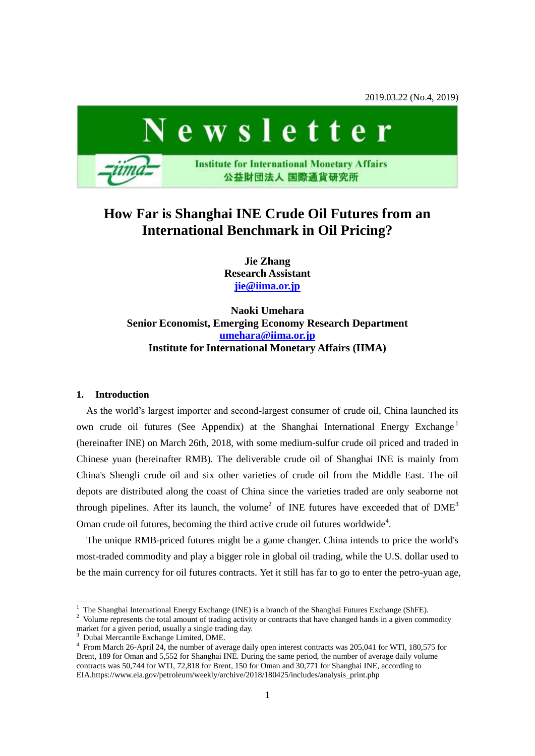2019.03.22 (No.4, 2019)



# **How Far is Shanghai INE Crude Oil Futures from an International Benchmark in Oil Pricing?**

**Jie Zhang Research Assistant [jie@iima.or.jp](mailto:jie@iima.or.jp)**

**Naoki Umehara Senior Economist, Emerging Economy Research Department [umehara@iima.or.jp](mailto:umehara@iima.or.jp) Institute for International Monetary Affairs (IIMA)**

# **1. Introduction**

 $\overline{a}$ 

As the world's largest importer and second-largest consumer of crude oil, China launched its own crude oil futures (See Appendix) at the Shanghai International Energy Exchange<sup>1</sup> (hereinafter INE) on March 26th, 2018, with some medium-sulfur crude oil priced and traded in Chinese yuan (hereinafter RMB). The deliverable crude oil of Shanghai INE is mainly from China's Shengli crude oil and six other varieties of crude oil from the Middle East. The oil depots are distributed along the coast of China since the varieties traded are only seaborne not through pipelines. After its launch, the volume<sup>2</sup> of INE futures have exceeded that of  $DME<sup>3</sup>$ Oman crude oil futures, becoming the third active crude oil futures worldwide<sup>4</sup>.

The unique RMB-priced futures might be a game changer. China intends to price the world's most-traded commodity and play a bigger role in global oil trading, while the U.S. dollar used to be the main currency for oil futures contracts. Yet it still has far to go to enter the petro-yuan age,

 $1$  The Shanghai International Energy Exchange (INE) is a branch of the Shanghai Futures Exchange (ShFE).

<sup>&</sup>lt;sup>2</sup> Volume represents the total amount of trading activity or contracts that have changed hands in a given commodity market for a given period, usually a single trading day.

<sup>3</sup> Dubai Mercantile Exchange Limited, DME.

<sup>4</sup> From March 26-April 24, the number of average daily open interest contracts was 205,041 for WTI, 180,575 for Brent, 189 for Oman and 5,552 for Shanghai INE. During the same period, the number of average daily volume contracts was 50,744 for WTI, 72,818 for Brent, 150 for Oman and 30,771 for Shanghai INE, according to EIA.https://www.eia.gov/petroleum/weekly/archive/2018/180425/includes/analysis\_print.php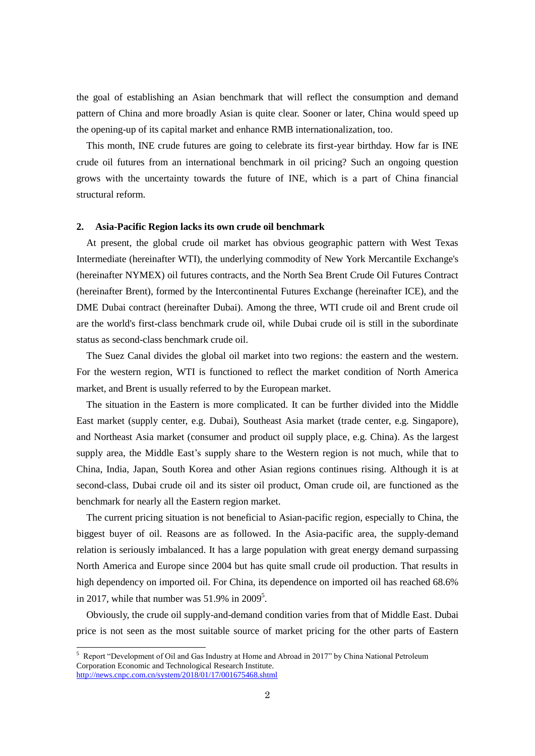the goal of establishing an Asian benchmark that will reflect the consumption and demand pattern of China and more broadly Asian is quite clear. Sooner or later, China would speed up the opening-up of its capital market and enhance RMB internationalization, too.

This month, INE crude futures are going to celebrate its first-year birthday. How far is INE crude oil futures from an international benchmark in oil pricing? Such an ongoing question grows with the uncertainty towards the future of INE, which is a part of China financial structural reform.

## **2. Asia-Pacific Region lacks its own crude oil benchmark**

At present, the global crude oil market has obvious geographic pattern with West Texas Intermediate (hereinafter WTI), the underlying commodity of New York Mercantile Exchange's (hereinafter NYMEX) oil futures contracts, and the North Sea Brent Crude Oil Futures Contract (hereinafter Brent), formed by the Intercontinental Futures Exchange (hereinafter ICE), and the DME Dubai contract (hereinafter Dubai). Among the three, WTI crude oil and Brent crude oil are the world's first-class benchmark crude oil, while Dubai crude oil is still in the subordinate status as second-class benchmark crude oil.

The Suez Canal divides the global oil market into two regions: the eastern and the western. For the western region, WTI is functioned to reflect the market condition of North America market, and Brent is usually referred to by the European market.

The situation in the Eastern is more complicated. It can be further divided into the Middle East market (supply center, e.g. Dubai), Southeast Asia market (trade center, e.g. Singapore), and Northeast Asia market (consumer and product oil supply place, e.g. China). As the largest supply area, the Middle East's supply share to the Western region is not much, while that to China, India, Japan, South Korea and other Asian regions continues rising. Although it is at second-class, Dubai crude oil and its sister oil product, Oman crude oil, are functioned as the benchmark for nearly all the Eastern region market.

The current pricing situation is not beneficial to Asian-pacific region, especially to China, the biggest buyer of oil. Reasons are as followed. In the Asia-pacific area, the supply-demand relation is seriously imbalanced. It has a large population with great energy demand surpassing North America and Europe since 2004 but has quite small crude oil production. That results in high dependency on imported oil. For China, its dependence on imported oil has reached 68.6% in 2017, while that number was  $51.9\%$  in 2009<sup>5</sup>.

Obviously, the crude oil supply-and-demand condition varies from that of Middle East. Dubai price is not seen as the most suitable source of market pricing for the other parts of Eastern

 $\overline{\phantom{a}}$ 

<sup>5</sup> Report "Development of Oil and Gas Industry at Home and Abroad in 2017" by China National Petroleum Corporation Economic and Technological Research Institute. <http://news.cnpc.com.cn/system/2018/01/17/001675468.shtml>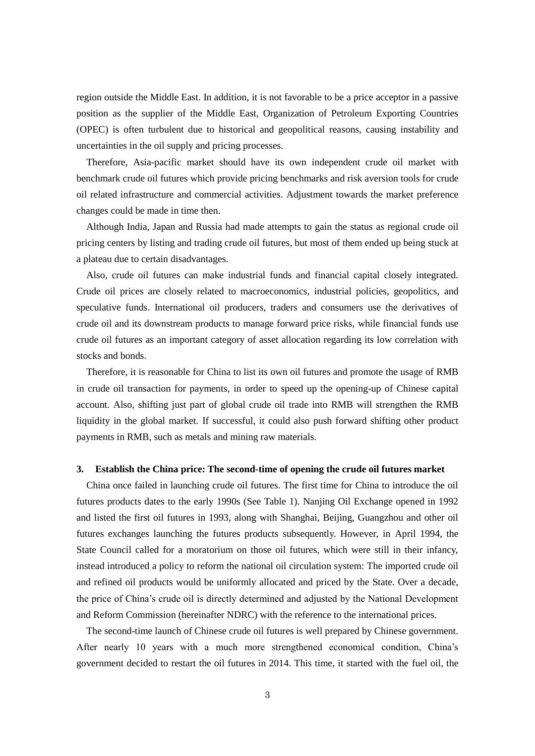region outside the Middle East. In addition, it is not favorable to be a price acceptor in a passive position as the supplier of the Middle East, Organization of Petroleum Exporting Countries (OPEC) is often turbulent due to historical and geopolitical reasons, causing instability and uncertainties in the oil supply and pricing processes.

Therefore, Asia-pacific market should have its own independent crude oil market with benchmark crude oil futures which provide pricing benchmarks and risk aversion tools for crude oil related infrastructure and commercial activities. Adjustment towards the market preference changes could be made in time then.

Although India, Japan and Russia had made attempts to gain the status as regional crude oil pricing centers by listing and trading crude oil futures, but most of them ended up being stuck at a plateau due to certain disadvantages.

Also, crude oil futures can make industrial funds and financial capital closely integrated. Crude oil prices are closely related to macroeconomics, industrial policies, geopolitics, and speculative funds. International oil producers, traders and consumers use the derivatives of crude oil and its downstream products to manage forward price risks, while financial funds use crude oil futures as an important category of asset allocation regarding its low correlation with stocks and bonds.

Therefore, it is reasonable for China to list its own oil futures and promote the usage of RMB in crude oil transaction for payments, in order to speed up the opening-up of Chinese capital account. Also, shifting just part of global crude oil trade into RMB will strengthen the RMB liquidity in the global market. If successful, it could also push forward shifting other product payments in RMB, such as metals and mining raw materials.

## **3. Establish the China price: The second-time of opening the crude oil futures market**

China once failed in launching crude oil futures. The first time for China to introduce the oil futures products dates to the early 1990s (See Table 1). Nanjing Oil Exchange opened in 1992 and listed the first oil futures in 1993, along with Shanghai, Beijing, Guangzhou and other oil futures exchanges launching the futures products subsequently. However, in April 1994, the State Council called for a moratorium on those oil futures, which were still in their infancy, instead introduced a policy to reform the national oil circulation system: The imported crude oil and refined oil products would be uniformly allocated and priced by the State. Over a decade, the price of China's crude oil is directly determined and adjusted by the National Development and Reform Commission (hereinafter NDRC) with the reference to the international prices.

The second-time launch of Chinese crude oil futures is well prepared by Chinese government. After nearly 10 years with a much more strengthened economical condition, China's government decided to restart the oil futures in 2014. This time, it started with the fuel oil, the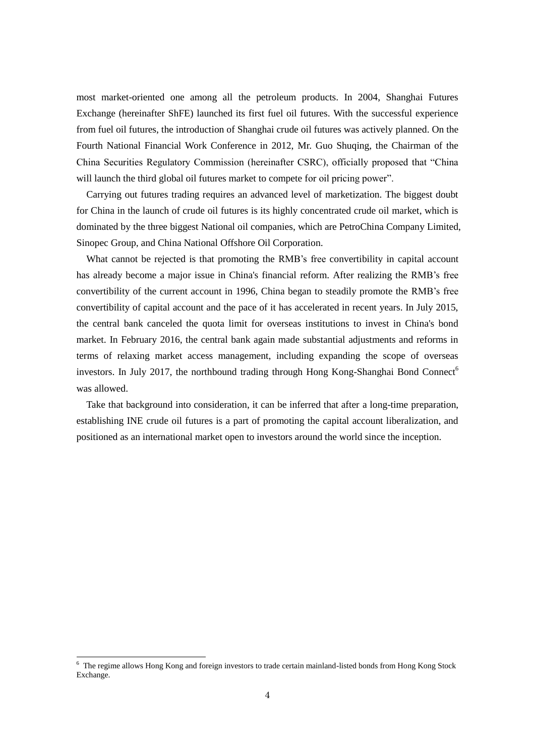most market-oriented one among all the petroleum products. In 2004, Shanghai Futures Exchange (hereinafter ShFE) launched its first fuel oil futures. With the successful experience from fuel oil futures, the introduction of Shanghai crude oil futures was actively planned. On the Fourth National Financial Work Conference in 2012, Mr. Guo Shuqing, the Chairman of the China Securities Regulatory Commission (hereinafter CSRC), officially proposed that "China will launch the third global oil futures market to compete for oil pricing power".

Carrying out futures trading requires an advanced level of marketization. The biggest doubt for China in the launch of crude oil futures is its highly concentrated crude oil market, which is dominated by the three biggest National oil companies, which are PetroChina Company Limited, Sinopec Group, and China National Offshore Oil Corporation.

What cannot be rejected is that promoting the RMB's free convertibility in capital account has already become a major issue in China's financial reform. After realizing the RMB's free convertibility of the current account in 1996, China began to steadily promote the RMB's free convertibility of capital account and the pace of it has accelerated in recent years. In July 2015, the central bank canceled the quota limit for overseas institutions to invest in China's bond market. In February 2016, the central bank again made substantial adjustments and reforms in terms of relaxing market access management, including expanding the scope of overseas investors. In July 2017, the northbound trading through Hong Kong-Shanghai Bond Connect<sup>6</sup> was allowed.

Take that background into consideration, it can be inferred that after a long-time preparation, establishing INE crude oil futures is a part of promoting the capital account liberalization, and positioned as an international market open to investors around the world since the inception.

 $6$  The regime allows Hong Kong and foreign investors to trade certain mainland-listed bonds from Hong Kong Stock Exchange.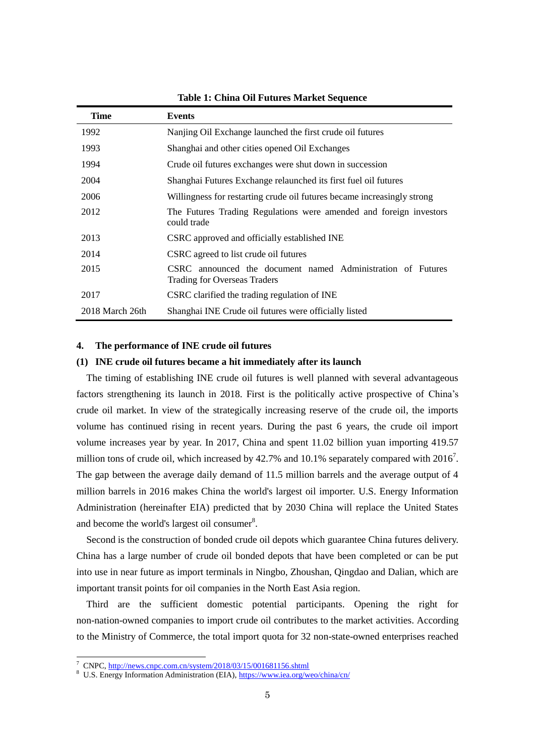| <b>Time</b>     | <b>Events</b>                                                                               |
|-----------------|---------------------------------------------------------------------------------------------|
| 1992            | Nanjing Oil Exchange launched the first crude oil futures                                   |
| 1993            | Shanghai and other cities opened Oil Exchanges                                              |
| 1994            | Crude oil futures exchanges were shut down in succession                                    |
| 2004            | Shanghai Futures Exchange relaunched its first fuel oil futures                             |
| 2006            | Willingness for restarting crude oil futures became increasingly strong                     |
| 2012            | The Futures Trading Regulations were amended and foreign investors<br>could trade           |
| 2013            | CSRC approved and officially established INE                                                |
| 2014            | CSRC agreed to list crude oil futures                                                       |
| 2015            | CSRC announced the document named Administration of Futures<br>Trading for Overseas Traders |
| 2017            | CSRC clarified the trading regulation of INE                                                |
| 2018 March 26th | Shanghai INE Crude oil futures were officially listed                                       |

**Table 1: China Oil Futures Market Sequence**

# **4. The performance of INE crude oil futures**

## **(1) INE crude oil futures became a hit immediately after its launch**

The timing of establishing INE crude oil futures is well planned with several advantageous factors strengthening its launch in 2018. First is the politically active prospective of China's crude oil market. In view of the strategically increasing reserve of the crude oil, the imports volume has continued rising in recent years. During the past 6 years, the crude oil import volume increases year by year. In 2017, China and spent 11.02 billion yuan importing 419.57 million tons of crude oil, which increased by 42.7% and 10.1% separately compared with  $2016<sup>7</sup>$ . The gap between the average daily demand of 11.5 million barrels and the average output of 4 million barrels in 2016 makes China the world's largest oil importer. U.S. Energy Information Administration (hereinafter EIA) predicted that by 2030 China will replace the United States and become the world's largest oil consumer<sup>8</sup>.

Second is the construction of bonded crude oil depots which guarantee China futures delivery. China has a large number of crude oil bonded depots that have been completed or can be put into use in near future as import terminals in Ningbo, Zhoushan, Qingdao and Dalian, which are important transit points for oil companies in the North East Asia region.

Third are the sufficient domestic potential participants. Opening the right for non-nation-owned companies to import crude oil contributes to the market activities. According to the Ministry of Commerce, the total import quota for 32 non-state-owned enterprises reached

<sup>&</sup>lt;sup>7</sup> CNPC, <http://news.cnpc.com.cn/system/2018/03/15/001681156.shtml>

<sup>8</sup> U.S. Energy Information Administration (EIA), https://www.iea.org/weo/china/cn/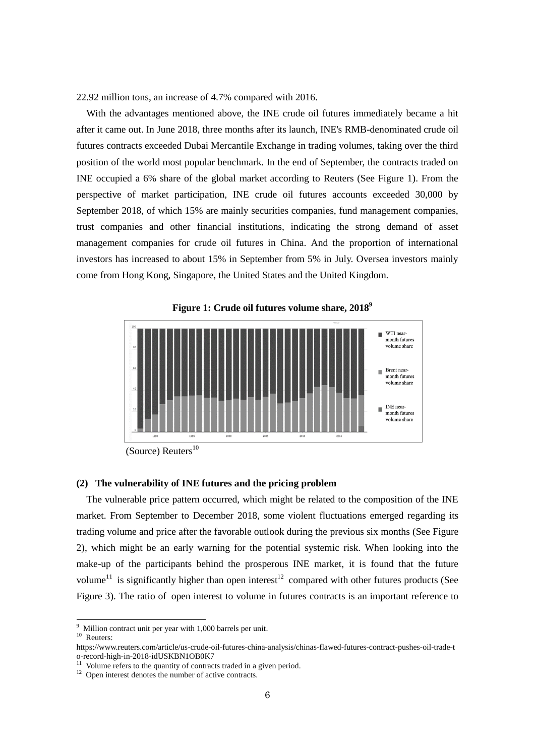22.92 million tons, an increase of 4.7% compared with 2016.

With the advantages mentioned above, the INE crude oil futures immediately became a hit after it came out. In June 2018, three months after its launch, INE's RMB-denominated crude oil futures contracts exceeded Dubai Mercantile Exchange in trading volumes, taking over the third position of the world most popular benchmark. In the end of September, the contracts traded on INE occupied a 6% share of the global market according to Reuters (See Figure 1). From the perspective of market participation, INE crude oil futures accounts exceeded 30,000 by September 2018, of which 15% are mainly securities companies, fund management companies, trust companies and other financial institutions, indicating the strong demand of asset management companies for crude oil futures in China. And the proportion of international investors has increased to about 15% in September from 5% in July. Oversea investors mainly come from Hong Kong, Singapore, the United States and the United Kingdom.



<sup>(</sup>Source) Reuters 10

## **(2) The vulnerability of INE futures and the pricing problem**

The vulnerable price pattern occurred, which might be related to the composition of the INE market. From September to December 2018, some violent fluctuations emerged regarding its trading volume and price after the favorable outlook during the previous six months (See Figure 2), which might be an early warning for the potential systemic risk. When looking into the make-up of the participants behind the prosperous INE market, it is found that the future volume<sup>11</sup> is significantly higher than open interest<sup>12</sup> compared with other futures products (See Figure 3). The ratio of open interest to volume in futures contracts is an important reference to

 $\overline{a}$ 

 $9$  Million contract unit per year with 1,000 barrels per unit.

 $10$  Reuters:

https://www.reuters.com/article/us-crude-oil-futures-china-analysis/chinas-flawed-futures-contract-pushes-oil-trade-t o-record-high-in-2018-idUSKBN1OB0K7

 $11$  Volume refers to the quantity of contracts traded in a given period.

<sup>&</sup>lt;sup>12</sup> Open interest denotes the number of active contracts.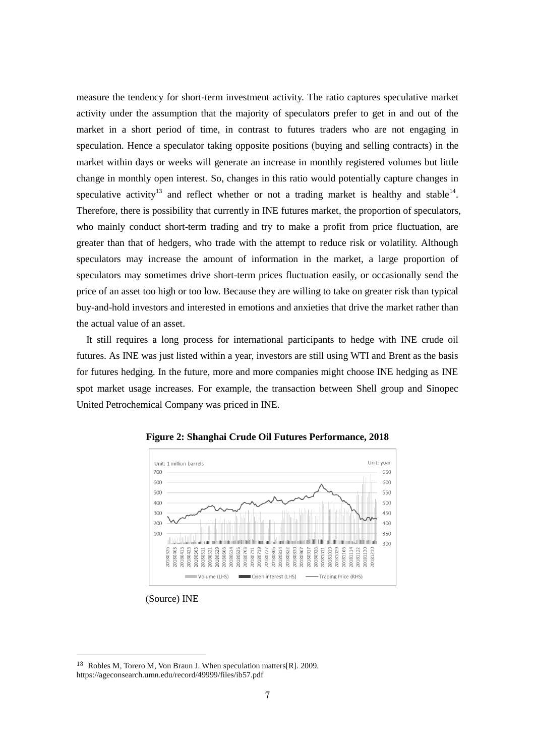measure the tendency for short-term investment activity. The ratio captures speculative market activity under the assumption that the majority of speculators prefer to get in and out of the market in a short period of time, in contrast to futures traders who are not engaging in speculation. Hence a speculator taking opposite positions (buying and selling contracts) in the market within days or weeks will generate an increase in monthly registered volumes but little change in monthly open interest. So, changes in this ratio would potentially capture changes in speculative activity<sup>13</sup> and reflect whether or not a trading market is healthy and stable<sup>14</sup>. Therefore, there is possibility that currently in INE futures market, the proportion of speculators, who mainly conduct short-term trading and try to make a profit from price fluctuation, are greater than that of hedgers, who trade with the attempt to reduce risk or volatility. Although speculators may increase the amount of information in the market, a large proportion of speculators may sometimes drive short-term prices fluctuation easily, or occasionally send the price of an asset too high or too low. Because they are willing to take on greater risk than typical buy-and-hold investors and interested in emotions and anxieties that drive the market rather than the actual value of an asset.

It still requires a long process for international participants to hedge with INE crude oil futures. As INE was just listed within a year, investors are still using WTI and Brent as the basis for futures hedging. In the future, more and more companies might choose INE hedging as INE spot market usage increases. For example, the transaction between Shell group and Sinopec United Petrochemical Company was priced in INE.



**Figure 2: Shanghai Crude Oil Futures Performance, 2018**

(Source) INE

<sup>13</sup> Robles M, Torero M, Von Braun J. When speculation matters[R]. 2009. https://ageconsearch.umn.edu/record/49999/files/ib57.pdf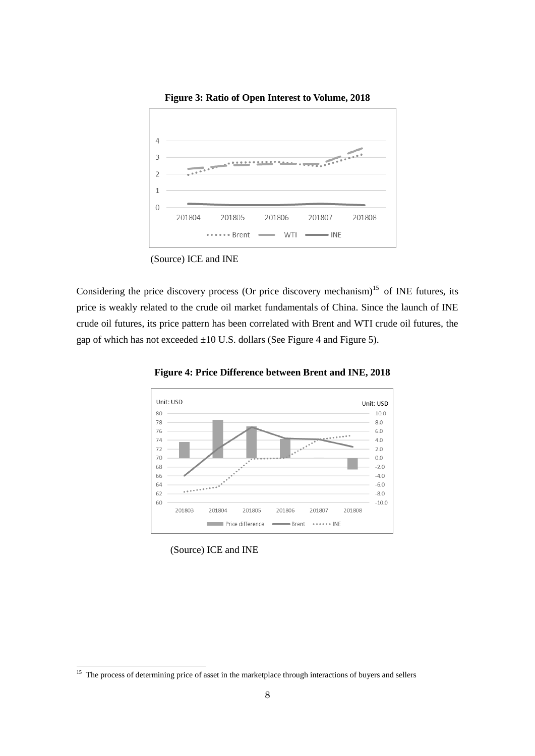

**Figure 3: Ratio of Open Interest to Volume, 2018**

(Source) ICE and INE

Considering the price discovery process (Or price discovery mechanism)<sup>15</sup> of INE futures, its price is weakly related to the crude oil market fundamentals of China. Since the launch of INE crude oil futures, its price pattern has been correlated with Brent and WTI crude oil futures, the gap of which has not exceeded  $\pm 10$  U.S. dollars (See Figure 4 and Figure 5).



**Figure 4: Price Difference between Brent and INE, 2018**

(Source) ICE and INE

<sup>&</sup>lt;sup>15</sup> The process of determining price of asset in the marketplace through interactions of buyers and sellers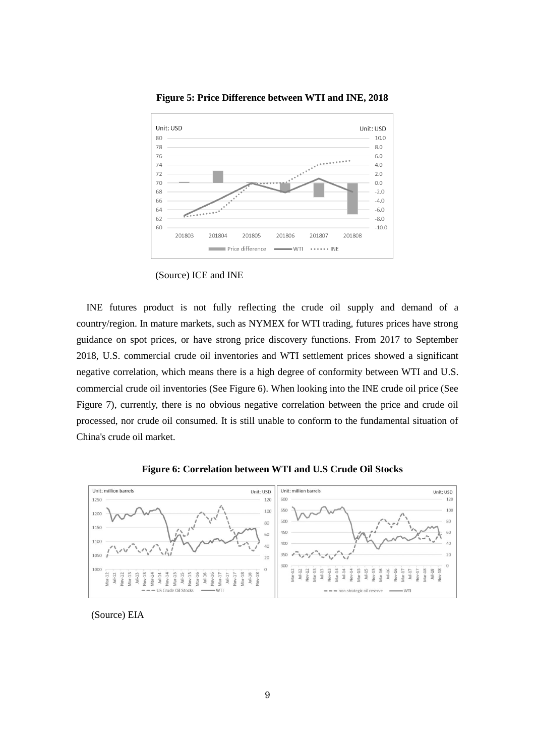

**Figure 5: Price Difference between WTI and INE, 2018**

INE futures product is not fully reflecting the crude oil supply and demand of a country/region. In mature markets, such as NYMEX for WTI trading, futures prices have strong guidance on spot prices, or have strong price discovery functions. From 2017 to September 2018, U.S. commercial crude oil inventories and WTI settlement prices showed a significant negative correlation, which means there is a high degree of conformity between WTI and U.S. commercial crude oil inventories (See Figure 6). When looking into the INE crude oil price (See Figure 7), currently, there is no obvious negative correlation between the price and crude oil processed, nor crude oil consumed. It is still unable to conform to the fundamental situation of China's crude oil market.



**Figure 6: Correlation between WTI and U.S Crude Oil Stocks**

(Source) EIA

<sup>(</sup>Source) ICE and INE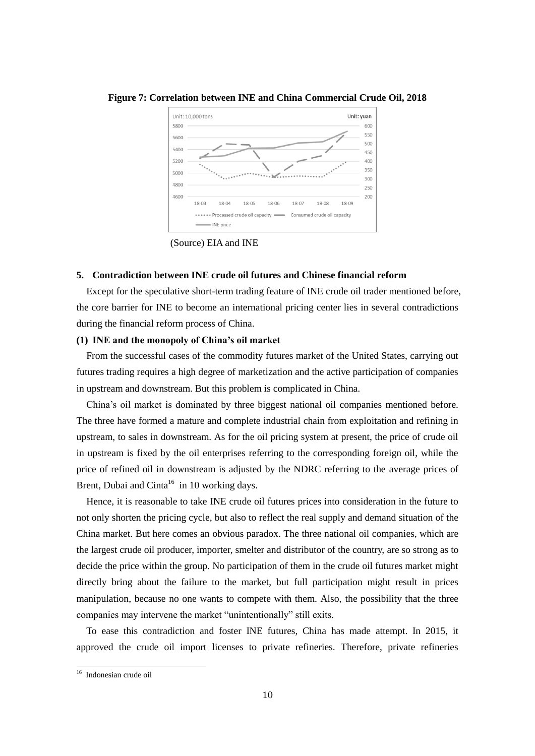

**Figure 7: Correlation between INE and China Commercial Crude Oil, 2018**

(Source) EIA and INE

#### **5. Contradiction between INE crude oil futures and Chinese financial reform**

Except for the speculative short-term trading feature of INE crude oil trader mentioned before, the core barrier for INE to become an international pricing center lies in several contradictions during the financial reform process of China.

# **(1) INE and the monopoly of China's oil market**

From the successful cases of the commodity futures market of the United States, carrying out futures trading requires a high degree of marketization and the active participation of companies in upstream and downstream. But this problem is complicated in China.

China's oil market is dominated by three biggest national oil companies mentioned before. The three have formed a mature and complete industrial chain from exploitation and refining in upstream, to sales in downstream. As for the oil pricing system at present, the price of crude oil in upstream is fixed by the oil enterprises referring to the corresponding foreign oil, while the price of refined oil in downstream is adjusted by the NDRC referring to the average prices of Brent, Dubai and Cinta<sup>16</sup> in 10 working days.

Hence, it is reasonable to take INE crude oil futures prices into consideration in the future to not only shorten the pricing cycle, but also to reflect the real supply and demand situation of the China market. But here comes an obvious paradox. The three national oil companies, which are the largest crude oil producer, importer, smelter and distributor of the country, are so strong as to decide the price within the group. No participation of them in the crude oil futures market might directly bring about the failure to the market, but full participation might result in prices manipulation, because no one wants to compete with them. Also, the possibility that the three companies may intervene the market "unintentionally" still exits.

To ease this contradiction and foster INE futures, China has made attempt. In 2015, it approved the crude oil import licenses to private refineries. Therefore, private refineries

<sup>16</sup> Indonesian crude oil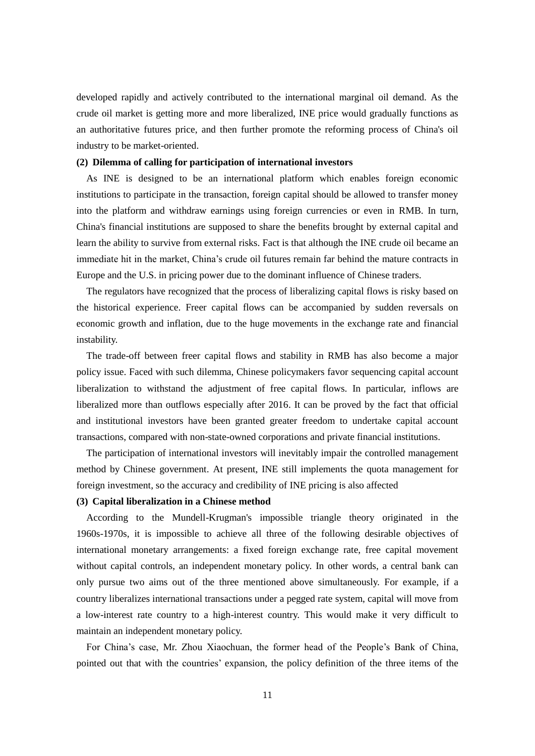developed rapidly and actively contributed to the international marginal oil demand. As the crude oil market is getting more and more liberalized, INE price would gradually functions as an authoritative futures price, and then further promote the reforming process of China's oil industry to be market-oriented.

## **(2) Dilemma of calling for participation of international investors**

As INE is designed to be an international platform which enables foreign economic institutions to participate in the transaction, foreign capital should be allowed to transfer money into the platform and withdraw earnings using foreign currencies or even in RMB. In turn, China's financial institutions are supposed to share the benefits brought by external capital and learn the ability to survive from external risks. Fact is that although the INE crude oil became an immediate hit in the market, China's crude oil futures remain far behind the mature contracts in Europe and the U.S. in pricing power due to the dominant influence of Chinese traders.

The regulators have recognized that the process of liberalizing capital flows is risky based on the historical experience. Freer capital flows can be accompanied by sudden reversals on economic growth and inflation, due to the huge movements in the exchange rate and financial instability.

The trade-off between freer capital flows and stability in RMB has also become a major policy issue. Faced with such dilemma, Chinese policymakers favor sequencing capital account liberalization to withstand the adjustment of free capital flows. In particular, inflows are liberalized more than outflows especially after 2016. It can be proved by the fact that official and institutional investors have been granted greater freedom to undertake capital account transactions, compared with non-state-owned corporations and private financial institutions.

The participation of international investors will inevitably impair the controlled management method by Chinese government. At present, INE still implements the quota management for foreign investment, so the accuracy and credibility of INE pricing is also affected

# **(3) Capital liberalization in a Chinese method**

According to the Mundell-Krugman's impossible triangle theory originated in the 1960s-1970s, it is impossible to achieve all three of the following desirable objectives of international monetary arrangements: a fixed foreign exchange rate, free capital movement without capital controls, an independent monetary policy. In other words, a central bank can only pursue two aims out of the three mentioned above simultaneously. For example, if a country liberalizes international transactions under a pegged rate system, capital will move from a low-interest rate country to a high-interest country. This would make it very difficult to maintain an independent monetary policy.

For China's case, Mr. Zhou Xiaochuan, the former head of the People's Bank of China, pointed out that with the countries' expansion, the policy definition of the three items of the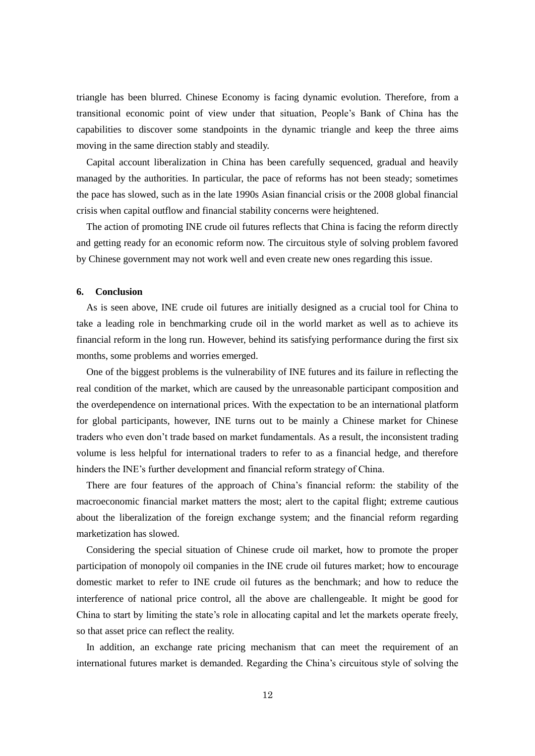triangle has been blurred. Chinese Economy is facing dynamic evolution. Therefore, from a transitional economic point of view under that situation, People's Bank of China has the capabilities to discover some standpoints in the dynamic triangle and keep the three aims moving in the same direction stably and steadily.

Capital account liberalization in China has been carefully sequenced, gradual and heavily managed by the authorities. In particular, the pace of reforms has not been steady; sometimes the pace has slowed, such as in the late 1990s Asian financial crisis or the 2008 global financial crisis when capital outflow and financial stability concerns were heightened.

The action of promoting INE crude oil futures reflects that China is facing the reform directly and getting ready for an economic reform now. The circuitous style of solving problem favored by Chinese government may not work well and even create new ones regarding this issue.

# **6. Conclusion**

As is seen above, INE crude oil futures are initially designed as a crucial tool for China to take a leading role in benchmarking crude oil in the world market as well as to achieve its financial reform in the long run. However, behind its satisfying performance during the first six months, some problems and worries emerged.

One of the biggest problems is the vulnerability of INE futures and its failure in reflecting the real condition of the market, which are caused by the unreasonable participant composition and the overdependence on international prices. With the expectation to be an international platform for global participants, however, INE turns out to be mainly a Chinese market for Chinese traders who even don't trade based on market fundamentals. As a result, the inconsistent trading volume is less helpful for international traders to refer to as a financial hedge, and therefore hinders the INE's further development and financial reform strategy of China.

There are four features of the approach of China's financial reform: the stability of the macroeconomic financial market matters the most; alert to the capital flight; extreme cautious about the liberalization of the foreign exchange system; and the financial reform regarding marketization has slowed.

Considering the special situation of Chinese crude oil market, how to promote the proper participation of monopoly oil companies in the INE crude oil futures market; how to encourage domestic market to refer to INE crude oil futures as the benchmark; and how to reduce the interference of national price control, all the above are challengeable. It might be good for China to start by limiting the state's role in allocating capital and let the markets operate freely, so that asset price can reflect the reality.

In addition, an exchange rate pricing mechanism that can meet the requirement of an international futures market is demanded. Regarding the China's circuitous style of solving the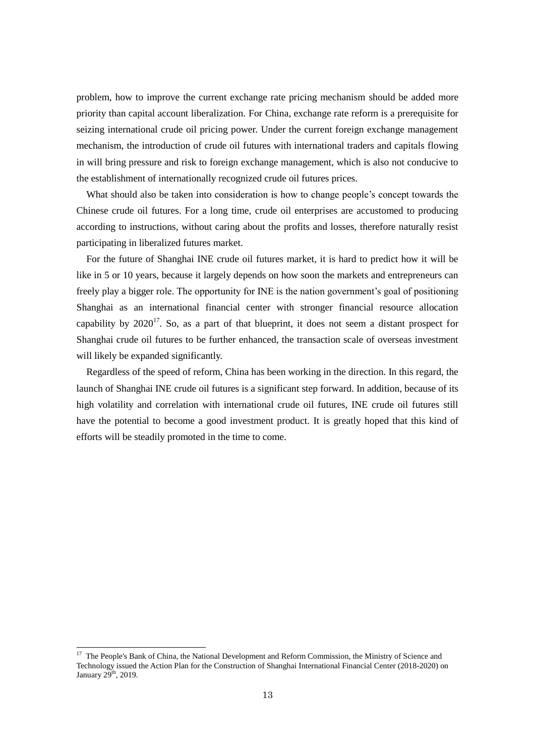problem, how to improve the current exchange rate pricing mechanism should be added more priority than capital account liberalization. For China, exchange rate reform is a prerequisite for seizing international crude oil pricing power. Under the current foreign exchange management mechanism, the introduction of crude oil futures with international traders and capitals flowing in will bring pressure and risk to foreign exchange management, which is also not conducive to the establishment of internationally recognized crude oil futures prices.

What should also be taken into consideration is how to change people's concept towards the Chinese crude oil futures. For a long time, crude oil enterprises are accustomed to producing according to instructions, without caring about the profits and losses, therefore naturally resist participating in liberalized futures market.

For the future of Shanghai INE crude oil futures market, it is hard to predict how it will be like in 5 or 10 years, because it largely depends on how soon the markets and entrepreneurs can freely play a bigger role. The opportunity for INE is the nation government's goal of positioning Shanghai as an international financial center with stronger financial resource allocation capability by  $2020^{17}$ . So, as a part of that blueprint, it does not seem a distant prospect for Shanghai crude oil futures to be further enhanced, the transaction scale of overseas investment will likely be expanded significantly.

Regardless of the speed of reform, China has been working in the direction. In this regard, the launch of Shanghai INE crude oil futures is a significant step forward. In addition, because of its high volatility and correlation with international crude oil futures, INE crude oil futures still have the potential to become a good investment product. It is greatly hoped that this kind of efforts will be steadily promoted in the time to come.

 $\overline{\phantom{a}}$ 

<sup>&</sup>lt;sup>17</sup> The People's Bank of China, the National Development and Reform Commission, the Ministry of Science and Technology issued the Action Plan for the Construction of Shanghai International Financial Center (2018-2020) on January 29<sup>th</sup>, 2019.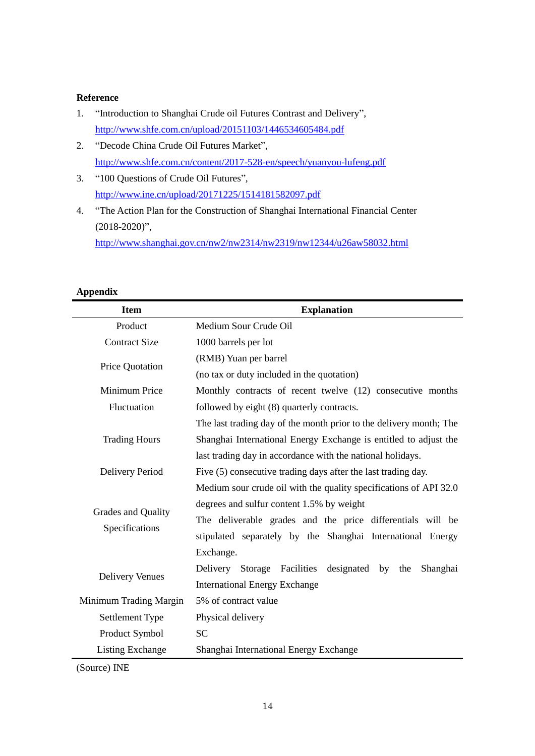# **Reference**

- 1. "Introduction to Shanghai Crude oil Futures Contrast and Delivery", <http://www.shfe.com.cn/upload/20151103/1446534605484.pdf>
- 2. "Decode China Crude Oil Futures Market", <http://www.shfe.com.cn/content/2017-528-en/speech/yuanyou-lufeng.pdf>
- 3. "100 Questions of Crude Oil Futures", <http://www.ine.cn/upload/20171225/1514181582097.pdf>
- 4. "The Action Plan for the Construction of Shanghai International Financial Center (2018-2020)", <http://www.shanghai.gov.cn/nw2/nw2314/nw2319/nw12344/u26aw58032.html>

| дррсциіл               |                                                                    |
|------------------------|--------------------------------------------------------------------|
| <b>Item</b>            | <b>Explanation</b>                                                 |
| Product                | Medium Sour Crude Oil                                              |
| <b>Contract Size</b>   | 1000 barrels per lot                                               |
| Price Quotation        | (RMB) Yuan per barrel                                              |
|                        | (no tax or duty included in the quotation)                         |
| Minimum Price          | Monthly contracts of recent twelve (12) consecutive months         |
| Fluctuation            | followed by eight (8) quarterly contracts.                         |
| <b>Trading Hours</b>   | The last trading day of the month prior to the delivery month; The |
|                        | Shanghai International Energy Exchange is entitled to adjust the   |
|                        | last trading day in accordance with the national holidays.         |
| Delivery Period        | Five (5) consecutive trading days after the last trading day.      |
|                        | Medium sour crude oil with the quality specifications of API 32.0  |
|                        | degrees and sulfur content 1.5% by weight                          |
| Grades and Quality     | The deliverable grades and the price differentials will be         |
| Specifications         | stipulated separately by the Shanghai International Energy         |
|                        | Exchange.                                                          |
|                        | Storage Facilities<br>designated by<br>Delivery<br>the<br>Shanghai |
| <b>Delivery Venues</b> | <b>International Energy Exchange</b>                               |
| Minimum Trading Margin | 5% of contract value                                               |
| Settlement Type        | Physical delivery                                                  |
| Product Symbol         | <b>SC</b>                                                          |
| Listing Exchange       | Shanghai International Energy Exchange                             |

**Appendix**

(Source) INE